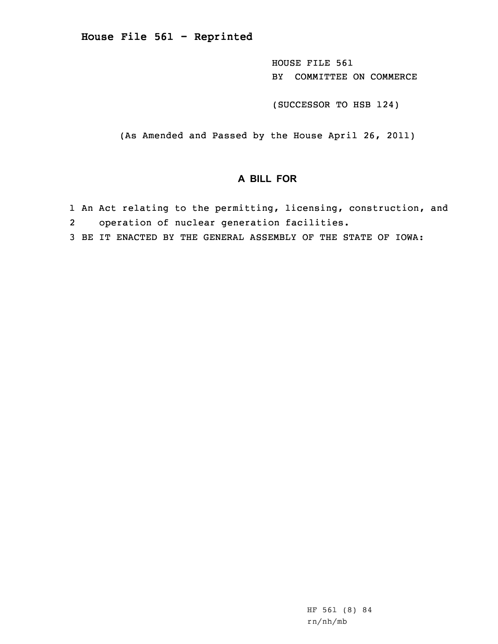**House File 561 - Reprinted**

HOUSE FILE 561 BY COMMITTEE ON COMMERCE

(SUCCESSOR TO HSB 124)

(As Amended and Passed by the House April 26, 2011)

## **A BILL FOR**

- 1 An Act relating to the permitting, licensing, construction, and 2operation of nuclear generation facilities.
- 3 BE IT ENACTED BY THE GENERAL ASSEMBLY OF THE STATE OF IOWA: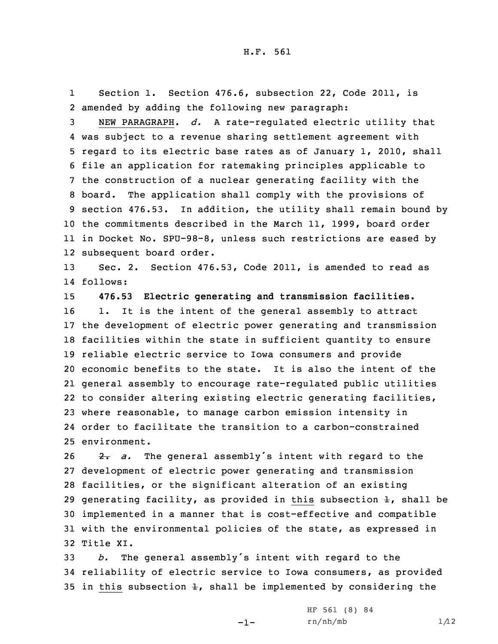1 Section 1. Section 476.6, subsection 22, Code 2011, is 2 amended by adding the following new paragraph:

 NEW PARAGRAPH. *d.* <sup>A</sup> rate-regulated electric utility that was subject to <sup>a</sup> revenue sharing settlement agreement with regard to its electric base rates as of January 1, 2010, shall file an application for ratemaking principles applicable to the construction of <sup>a</sup> nuclear generating facility with the board. The application shall comply with the provisions of section 476.53. In addition, the utility shall remain bound by the commitments described in the March 11, 1999, board order in Docket No. SPU-98-8, unless such restrictions are eased by subsequent board order.

13 Sec. 2. Section 476.53, Code 2011, is amended to read as 14 follows:

 **476.53 Electric generating and transmission facilities.** 1. It is the intent of the general assembly to attract the development of electric power generating and transmission facilities within the state in sufficient quantity to ensure reliable electric service to Iowa consumers and provide economic benefits to the state. It is also the intent of the general assembly to encourage rate-regulated public utilities to consider altering existing electric generating facilities, where reasonable, to manage carbon emission intensity in order to facilitate the transition to <sup>a</sup> carbon-constrained environment.

26 2. a. The general assembly's intent with regard to the development of electric power generating and transmission facilities, or the significant alteration of an existing 29 generating facility, as provided in this subsection  $\pm$ , shall be implemented in <sup>a</sup> manner that is cost-effective and compatible with the environmental policies of the state, as expressed in Title XI.

<sup>33</sup> *b.* The general assembly's intent with regard to the 34 reliability of electric service to Iowa consumers, as provided 35 in this subsection  $\pm$ , shall be implemented by considering the

-1-

HF 561 (8) 84  $rn/nh/mb$  1/12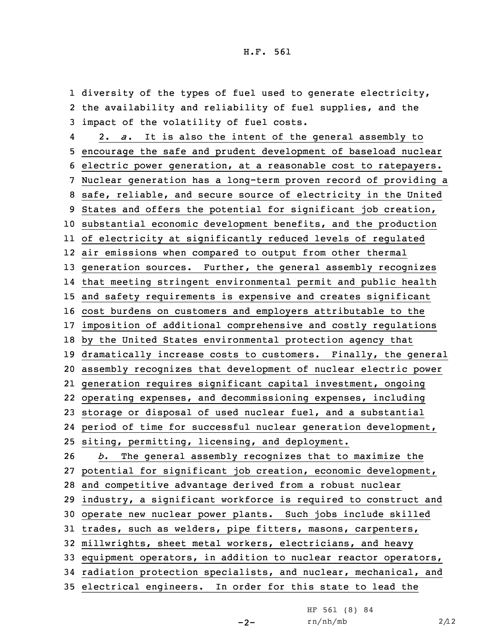1 diversity of the types of fuel used to generate electricity, the availability and reliability of fuel supplies, and the impact of the volatility of fuel costs. 4 2. *<sup>a</sup>*. It is also the intent of the general assembly to encourage the safe and prudent development of baseload nuclear electric power generation, at <sup>a</sup> reasonable cost to ratepayers. Nuclear generation has <sup>a</sup> long-term proven record of providing <sup>a</sup> safe, reliable, and secure source of electricity in the United States and offers the potential for significant job creation, substantial economic development benefits, and the production of electricity at significantly reduced levels of regulated air emissions when compared to output from other thermal generation sources. Further, the general assembly recognizes that meeting stringent environmental permit and public health and safety requirements is expensive and creates significant cost burdens on customers and employers attributable to the imposition of additional comprehensive and costly regulations by the United States environmental protection agency that dramatically increase costs to customers. Finally, the general assembly recognizes that development of nuclear electric power generation requires significant capital investment, ongoing operating expenses, and decommissioning expenses, including storage or disposal of used nuclear fuel, and <sup>a</sup> substantial period of time for successful nuclear generation development, siting, permitting, licensing, and deployment. *b.* The general assembly recognizes that to maximize the potential for significant job creation, economic development, and competitive advantage derived from <sup>a</sup> robust nuclear industry, <sup>a</sup> significant workforce is required to construct and operate new nuclear power plants. Such jobs include skilled trades, such as welders, pipe fitters, masons, carpenters, millwrights, sheet metal workers, electricians, and heavy equipment operators, in addition to nuclear reactor operators, radiation protection specialists, and nuclear, mechanical, and electrical engineers. In order for this state to lead the

 $-2-$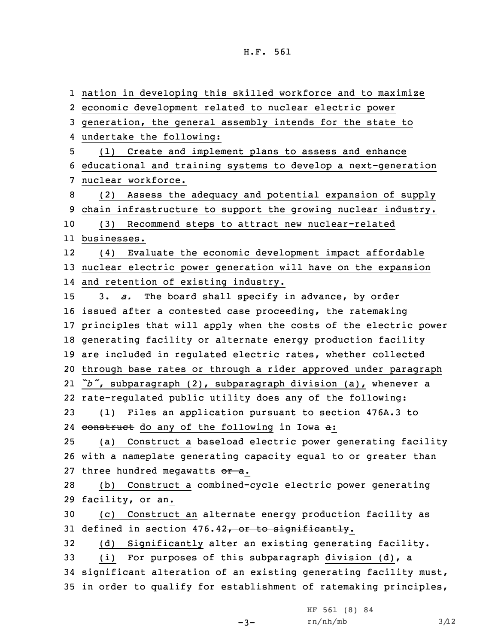nation in developing this skilled workforce and to maximize economic development related to nuclear electric power generation, the general assembly intends for the state to undertake the following: (1) Create and implement plans to assess and enhance educational and training systems to develop <sup>a</sup> next-generation nuclear workforce. (2) Assess the adequacy and potential expansion of supply chain infrastructure to support the growing nuclear industry. (3) Recommend steps to attract new nuclear-related businesses. 12 (4) Evaluate the economic development impact affordable nuclear electric power generation will have on the expansion and retention of existing industry. 3. *a.* The board shall specify in advance, by order issued after <sup>a</sup> contested case proceeding, the ratemaking principles that will apply when the costs of the electric power generating facility or alternate energy production facility are included in regulated electric rates, whether collected through base rates or through <sup>a</sup> rider approved under paragraph *"b"*, subparagraph (2), subparagraph division (a), whenever <sup>a</sup> rate-regulated public utility does any of the following: (1) Files an application pursuant to section 476A.3 to 24 construct do any of the following in Iowa a: (a) Construct <sup>a</sup> baseload electric power generating facility with <sup>a</sup> nameplate generating capacity equal to or greater than 27 three hundred megawatts or a. (b) Construct <sup>a</sup> combined-cycle electric power generating 29 facility<del>, or an</del>. (c) Construct an alternate energy production facility as 31 defined in section  $476.42$ , or to significantly. (d) Significantly alter an existing generating facility. (i) For purposes of this subparagraph division (d), <sup>a</sup> significant alteration of an existing generating facility must, in order to qualify for establishment of ratemaking principles,

 $-3-$ 

HF 561 (8) 84  $rn/nh/mb$  3/12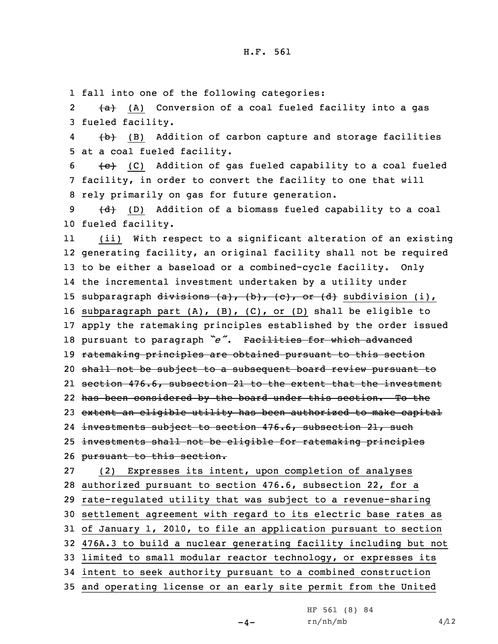1 fall into one of the following categories:

2 $\{a\}$  (A) Conversion of a coal fueled facility into a gas 3 fueled facility.

4 (b) (B) Addition of carbon capture and storage facilities 5 at <sup>a</sup> coal fueled facility.

 $6$  (C) Addition of gas fueled capability to a coal fueled 7 facility, in order to convert the facility to one that will 8 rely primarily on gas for future generation.

9  $\{d\}$  (D) Addition of a biomass fueled capability to a coal 10 fueled facility.

11 (ii) With respect to <sup>a</sup> significant alteration of an existing generating facility, an original facility shall not be required to be either <sup>a</sup> baseload or <sup>a</sup> combined-cycle facility. Only the incremental investment undertaken by <sup>a</sup> utility under 15 subparagraph  $divisions (a), (b), (c), or (d)$  subdivision (i), subparagraph part (A), (B), (C), or (D) shall be eligible to apply the ratemaking principles established by the order issued pursuant to paragraph *"e"*. Facilities for which advanced ratemaking principles are obtained pursuant to this section shall not be subject to <sup>a</sup> subsequent board review pursuant to section 476.6, subsection 21 to the extent that the investment has been considered by the board under this section. To the extent an eligible utility has been authorized to make capital 24 investments subject to section 476.6, subsection 21, such investments shall not be eligible for ratemaking principles pursuant to this section. (2) Expresses its intent, upon completion of analyses authorized pursuant to section 476.6, subsection 22, for <sup>a</sup> rate-regulated utility that was subject to <sup>a</sup> revenue-sharing

30 settlement agreement with regard to its electric base rates as 31 of January 1, 2010, to file an application pursuant to section

32 476A.3 to build <sup>a</sup> nuclear generating facility including but not

33 limited to small modular reactor technology, or expresses its

34 intent to seek authority pursuant to <sup>a</sup> combined construction

35 and operating license or an early site permit from the United

 $-4-$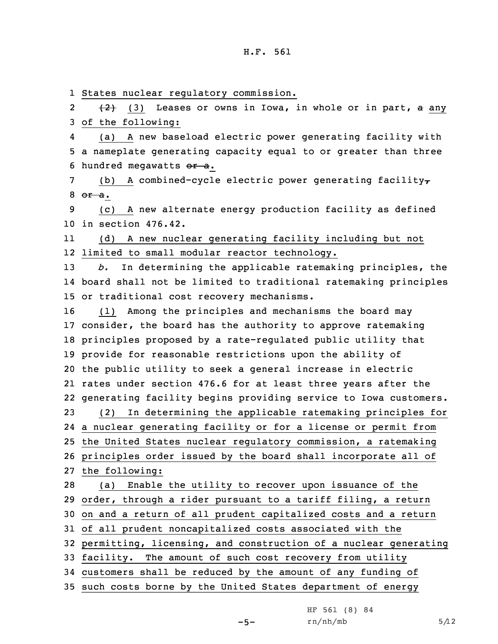1 States nuclear regulatory commission.

2 $\{2\}$  (3) Leases or owns in Iowa, in whole or in part, a any 3 of the following:

4 (a) <sup>A</sup> new baseload electric power generating facility with 5 <sup>a</sup> nameplate generating capacity equal to or greater than three 6 hundred megawatts  $or a$ .

7 (b) A combined-cycle electric power generating facility $\tau$  $8$   $\frac{1}{2}$   $-$ 

9 (c) <sup>A</sup> new alternate energy production facility as defined 10 in section 476.42.

11 (d) <sup>A</sup> new nuclear generating facility including but not 12 limited to small modular reactor technology.

13 *b.* In determining the applicable ratemaking principles, the 14 board shall not be limited to traditional ratemaking principles 15 or traditional cost recovery mechanisms.

 (1) Among the principles and mechanisms the board may consider, the board has the authority to approve ratemaking principles proposed by <sup>a</sup> rate-regulated public utility that provide for reasonable restrictions upon the ability of the public utility to seek <sup>a</sup> general increase in electric rates under section 476.6 for at least three years after the generating facility begins providing service to Iowa customers. (2) In determining the applicable ratemaking principles for <sup>a</sup> nuclear generating facility or for <sup>a</sup> license or permit from the United States nuclear regulatory commission, <sup>a</sup> ratemaking principles order issued by the board shall incorporate all of the following: (a) Enable the utility to recover upon issuance of the order, through <sup>a</sup> rider pursuant to <sup>a</sup> tariff filing, <sup>a</sup> return on and <sup>a</sup> return of all prudent capitalized costs and <sup>a</sup> return of all prudent noncapitalized costs associated with the permitting, licensing, and construction of <sup>a</sup> nuclear generating facility. The amount of such cost recovery from utility customers shall be reduced by the amount of any funding of

35 such costs borne by the United States department of energy

 $-5-$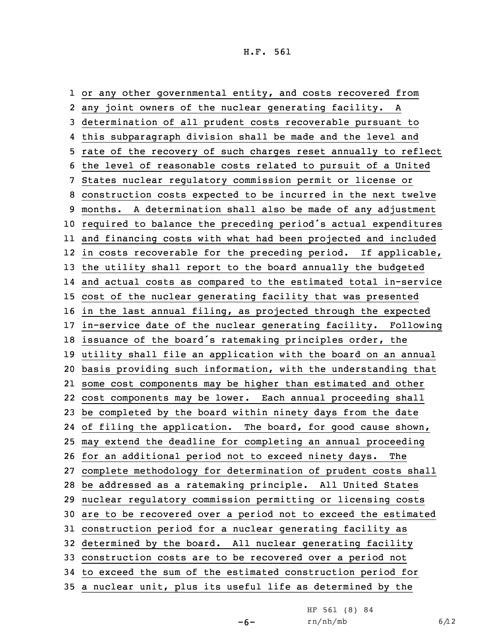or any other governmental entity, and costs recovered from any joint owners of the nuclear generating facility. <sup>A</sup> determination of all prudent costs recoverable pursuant to this subparagraph division shall be made and the level and rate of the recovery of such charges reset annually to reflect the level of reasonable costs related to pursuit of <sup>a</sup> United States nuclear regulatory commission permit or license or construction costs expected to be incurred in the next twelve months. <sup>A</sup> determination shall also be made of any adjustment required to balance the preceding period's actual expenditures and financing costs with what had been projected and included in costs recoverable for the preceding period. If applicable, the utility shall report to the board annually the budgeted and actual costs as compared to the estimated total in-service cost of the nuclear generating facility that was presented in the last annual filing, as projected through the expected in-service date of the nuclear generating facility. Following issuance of the board's ratemaking principles order, the utility shall file an application with the board on an annual basis providing such information, with the understanding that some cost components may be higher than estimated and other cost components may be lower. Each annual proceeding shall be completed by the board within ninety days from the date 24 of filing the application. The board, for good cause shown, may extend the deadline for completing an annual proceeding for an additional period not to exceed ninety days. The complete methodology for determination of prudent costs shall be addressed as <sup>a</sup> ratemaking principle. All United States nuclear regulatory commission permitting or licensing costs are to be recovered over <sup>a</sup> period not to exceed the estimated construction period for <sup>a</sup> nuclear generating facility as determined by the board. All nuclear generating facility construction costs are to be recovered over <sup>a</sup> period not to exceed the sum of the estimated construction period for <sup>a</sup> nuclear unit, plus its useful life as determined by the

 $-6-$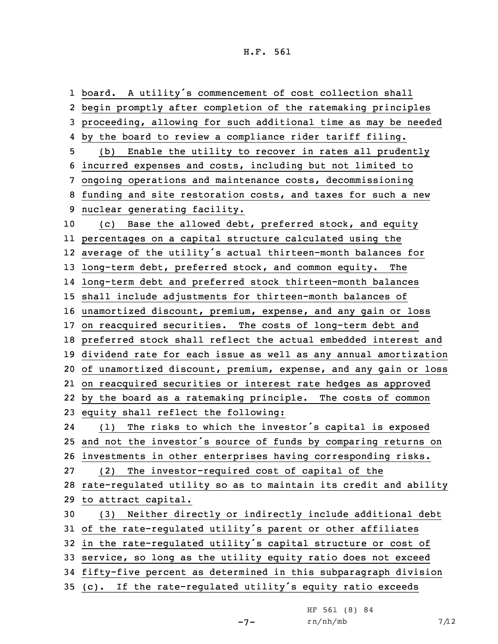board. <sup>A</sup> utility's commencement of cost collection shall begin promptly after completion of the ratemaking principles proceeding, allowing for such additional time as may be needed by the board to review <sup>a</sup> compliance rider tariff filing. (b) Enable the utility to recover in rates all prudently incurred expenses and costs, including but not limited to ongoing operations and maintenance costs, decommissioning funding and site restoration costs, and taxes for such <sup>a</sup> new nuclear generating facility. (c) Base the allowed debt, preferred stock, and equity percentages on <sup>a</sup> capital structure calculated using the average of the utility's actual thirteen-month balances for long-term debt, preferred stock, and common equity. The long-term debt and preferred stock thirteen-month balances shall include adjustments for thirteen-month balances of unamortized discount, premium, expense, and any gain or loss on reacquired securities. The costs of long-term debt and preferred stock shall reflect the actual embedded interest and dividend rate for each issue as well as any annual amortization of unamortized discount, premium, expense, and any gain or loss on reacquired securities or interest rate hedges as approved by the board as <sup>a</sup> ratemaking principle. The costs of common equity shall reflect the following: 24 (1) The risks to which the investor's capital is exposed and not the investor's source of funds by comparing returns on investments in other enterprises having corresponding risks. (2) The investor-required cost of capital of the rate-regulated utility so as to maintain its credit and ability to attract capital. (3) Neither directly or indirectly include additional debt of the rate-regulated utility's parent or other affiliates in the rate-regulated utility's capital structure or cost of service, so long as the utility equity ratio does not exceed fifty-five percent as determined in this subparagraph division (c). If the rate-regulated utility's equity ratio exceeds

 $-7-$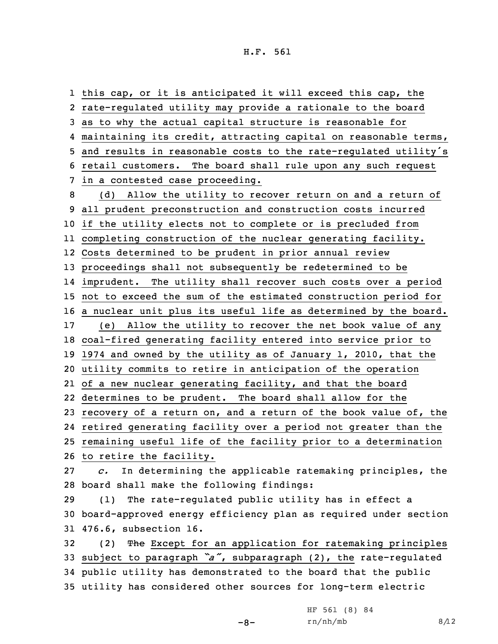this cap, or it is anticipated it will exceed this cap, the rate-regulated utility may provide <sup>a</sup> rationale to the board as to why the actual capital structure is reasonable for maintaining its credit, attracting capital on reasonable terms, and results in reasonable costs to the rate-regulated utility's retail customers. The board shall rule upon any such request in <sup>a</sup> contested case proceeding. (d) Allow the utility to recover return on and <sup>a</sup> return of all prudent preconstruction and construction costs incurred if the utility elects not to complete or is precluded from completing construction of the nuclear generating facility. Costs determined to be prudent in prior annual review proceedings shall not subsequently be redetermined to be imprudent. The utility shall recover such costs over <sup>a</sup> period not to exceed the sum of the estimated construction period for <sup>a</sup> nuclear unit plus its useful life as determined by the board. (e) Allow the utility to recover the net book value of any coal-fired generating facility entered into service prior to 1974 and owned by the utility as of January 1, 2010, that the utility commits to retire in anticipation of the operation of <sup>a</sup> new nuclear generating facility, and that the board determines to be prudent. The board shall allow for the recovery of <sup>a</sup> return on, and <sup>a</sup> return of the book value of, the retired generating facility over <sup>a</sup> period not greater than the remaining useful life of the facility prior to <sup>a</sup> determination to retire the facility. *c.* In determining the applicable ratemaking principles, the board shall make the following findings: (1) The rate-regulated public utility has in effect <sup>a</sup> board-approved energy efficiency plan as required under section 476.6, subsection 16. 32 (2) The Except for an application for ratemaking principles subject to paragraph *"a"*, subparagraph (2), the rate-regulated public utility has demonstrated to the board that the public utility has considered other sources for long-term electric

-8-

HF 561 (8) 84  $rn/nh/mb$  8/12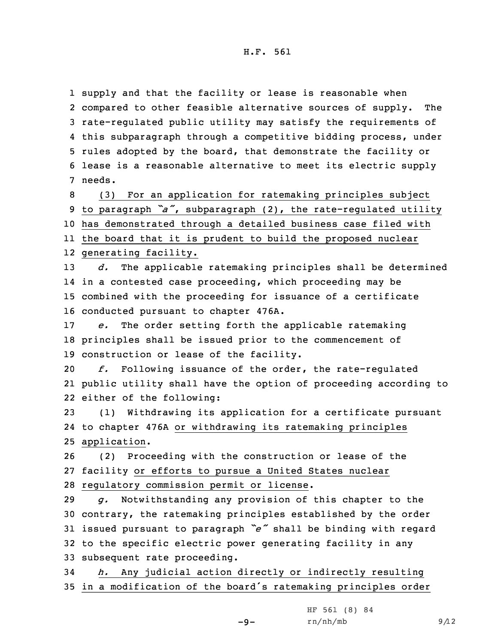supply and that the facility or lease is reasonable when compared to other feasible alternative sources of supply. The rate-regulated public utility may satisfy the requirements of this subparagraph through <sup>a</sup> competitive bidding process, under rules adopted by the board, that demonstrate the facility or lease is <sup>a</sup> reasonable alternative to meet its electric supply 7 needs.

 (3) For an application for ratemaking principles subject to paragraph *"a"*, subparagraph (2), the rate-regulated utility has demonstrated through <sup>a</sup> detailed business case filed with the board that it is prudent to build the proposed nuclear generating facility.

 *d.* The applicable ratemaking principles shall be determined in <sup>a</sup> contested case proceeding, which proceeding may be combined with the proceeding for issuance of <sup>a</sup> certificate conducted pursuant to chapter 476A.

17 *e.* The order setting forth the applicable ratemaking 18 principles shall be issued prior to the commencement of 19 construction or lease of the facility.

20 *f.* Following issuance of the order, the rate-regulated 21 public utility shall have the option of proceeding according to 22 either of the following:

23 (1) Withdrawing its application for <sup>a</sup> certificate pursuant 24 to chapter 476A or withdrawing its ratemaking principles 25 application.

26 (2) Proceeding with the construction or lease of the 27 facility or efforts to pursue <sup>a</sup> United States nuclear 28 regulatory commission permit or license.

 *g.* Notwithstanding any provision of this chapter to the contrary, the ratemaking principles established by the order issued pursuant to paragraph *"e"* shall be binding with regard to the specific electric power generating facility in any subsequent rate proceeding.

34 *h.* Any judicial action directly or indirectly resulting <sup>35</sup> in <sup>a</sup> modification of the board's ratemaking principles order

-9-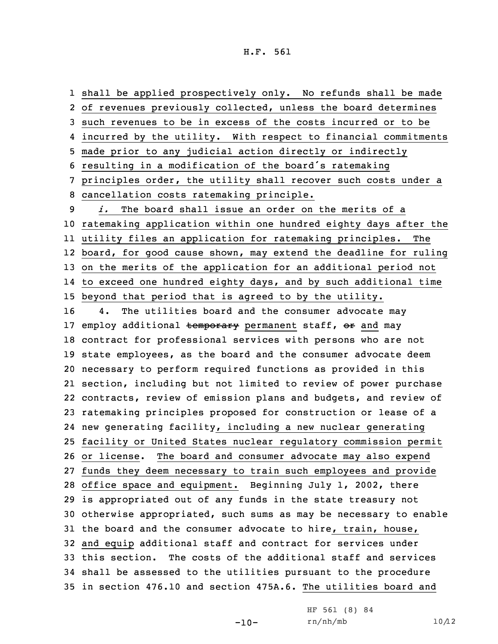shall be applied prospectively only. No refunds shall be made of revenues previously collected, unless the board determines such revenues to be in excess of the costs incurred or to be incurred by the utility. With respect to financial commitments made prior to any judicial action directly or indirectly resulting in <sup>a</sup> modification of the board's ratemaking principles order, the utility shall recover such costs under <sup>a</sup> cancellation costs ratemaking principle. *i.* The board shall issue an order on the merits of <sup>a</sup> ratemaking application within one hundred eighty days after the utility files an application for ratemaking principles. The board, for good cause shown, may extend the deadline for ruling on the merits of the application for an additional period not to exceed one hundred eighty days, and by such additional time beyond that period that is agreed to by the utility. 4. The utilities board and the consumer advocate may 17 employ additional temporary permanent staff, or and may contract for professional services with persons who are not state employees, as the board and the consumer advocate deem necessary to perform required functions as provided in this section, including but not limited to review of power purchase contracts, review of emission plans and budgets, and review of ratemaking principles proposed for construction or lease of <sup>a</sup> new generating facility, including <sup>a</sup> new nuclear generating facility or United States nuclear regulatory commission permit or license. The board and consumer advocate may also expend funds they deem necessary to train such employees and provide office space and equipment. Beginning July 1, 2002, there is appropriated out of any funds in the state treasury not otherwise appropriated, such sums as may be necessary to enable the board and the consumer advocate to hire, train, house, and equip additional staff and contract for services under this section. The costs of the additional staff and services shall be assessed to the utilities pursuant to the procedure in section 476.10 and section 475A.6. The utilities board and

-10-

HF 561 (8) 84  $rn/nh/mb$  10/12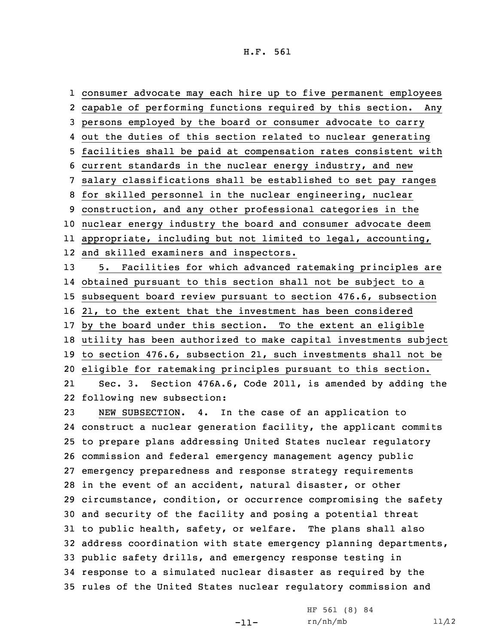consumer advocate may each hire up to five permanent employees capable of performing functions required by this section. Any persons employed by the board or consumer advocate to carry out the duties of this section related to nuclear generating facilities shall be paid at compensation rates consistent with current standards in the nuclear energy industry, and new salary classifications shall be established to set pay ranges for skilled personnel in the nuclear engineering, nuclear construction, and any other professional categories in the nuclear energy industry the board and consumer advocate deem appropriate, including but not limited to legal, accounting, and skilled examiners and inspectors. 5. Facilities for which advanced ratemaking principles are obtained pursuant to this section shall not be subject to <sup>a</sup> subsequent board review pursuant to section 476.6, subsection 21, to the extent that the investment has been considered by the board under this section. To the extent an eligible utility has been authorized to make capital investments subject to section 476.6, subsection 21, such investments shall not be eligible for ratemaking principles pursuant to this section. 21 Sec. 3. Section 476A.6, Code 2011, is amended by adding the following new subsection: NEW SUBSECTION. 4. In the case of an application to construct <sup>a</sup> nuclear generation facility, the applicant commits to prepare plans addressing United States nuclear regulatory commission and federal emergency management agency public emergency preparedness and response strategy requirements in the event of an accident, natural disaster, or other circumstance, condition, or occurrence compromising the safety and security of the facility and posing <sup>a</sup> potential threat to public health, safety, or welfare. The plans shall also address coordination with state emergency planning departments, public safety drills, and emergency response testing in response to <sup>a</sup> simulated nuclear disaster as required by the rules of the United States nuclear regulatory commission and

-11-

HF 561 (8) 84  $rn/nh/mb$  11/12